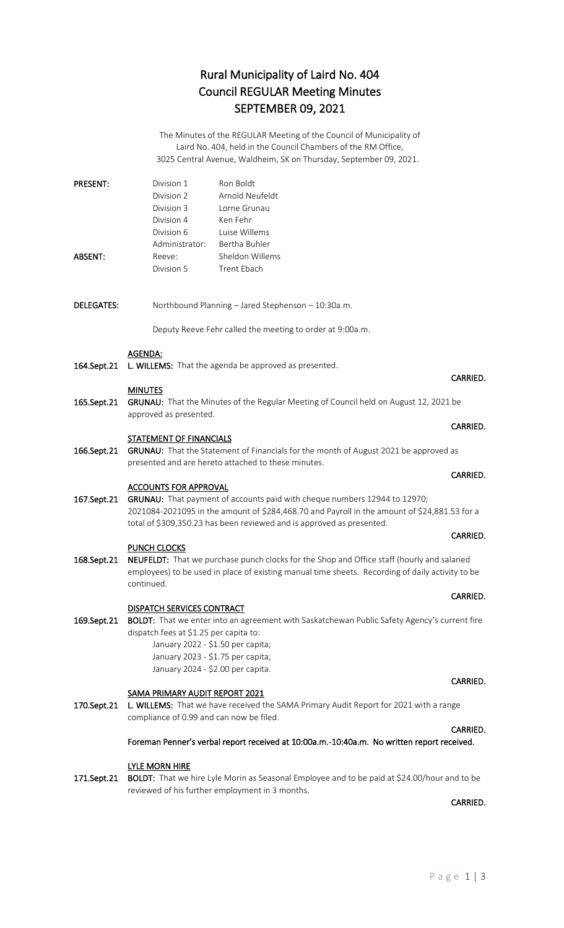## Rural Municipality of Laird No. 404 Council REGULAR Meeting Minutes SEPTEMBER 09, 2021

The Minutes of the REGULAR Meeting of the Council of Municipality of Laird No. 404, held in the Council Chambers of the RM Office, 3025 Central Avenue, Waldheim, SK on Thursday, September 09, 2021.

| <b>PRESENT:</b> | Division 1     | Ron Boldt       |
|-----------------|----------------|-----------------|
|                 | Division 2     | Arnold Neufeldt |
|                 | Division 3     | Torne Grunau    |
|                 | Division 4     | Ken Fehr        |
|                 | Division 6     | Luise Willems   |
|                 | Administrator: | Bertha Buhler   |
| <b>ABSENT:</b>  | Reeve:         | Sheldon Willems |
|                 | Division 5     | Trent Ebach     |

DELEGATES: Northbound Planning – Jared Stephenson – 10:30a.m.

Deputy Reeve Fehr called the meeting to order at 9:00a.m.

### AGENDA:

164.Sept.21 L. WILLEMS: That the agenda be approved as presented.

### MINUTES

165.Sept.21 GRUNAU: That the Minutes of the Regular Meeting of Council held on August 12, 2021 be approved as presented.

**CARRIED. CARRIED.** 

#### STATEMENT OF FINANCIALS

166.Sept.21 GRUNAU: That the Statement of Financials for the month of August 2021 be approved as presented and are hereto attached to these minutes.

#### ACCOUNTS FOR APPROVAL

167.Sept.21 GRUNAU: That payment of accounts paid with cheque numbers 12944 to 12970; 2021084-2021095 in the amount of \$284,468.70 and Payroll in the amount of \$24,881.53 for a total of \$309,350.23 has been reviewed and is approved as presented.

#### PUNCH CLOCKS

168.Sept.21 NEUFELDT: That we purchase punch clocks for the Shop and Office staff (hourly and salaried employees) to be used in place of existing manual time sheets. Recording of daily activity to be continued.

### DISPATCH SERVICES CONTRACT

169.Sept.21 BOLDT: That we enter into an agreement with Saskatchewan Public Safety Agency's current fire dispatch fees at \$1.25 per capita to: January 2022 - \$1.50 per capita;

January 2023 - \$1.75 per capita; January 2024 - \$2.00 per capita.

### SAMA PRIMARY AUDIT REPORT 2021

170.Sept.21 L. WILLEMS: That we have received the SAMA Primary Audit Report for 2021 with a range compliance of 0.99 and can now be filed.

### Foreman Penner's verbal report received at 10:00a.m.-10:40a.m. No written report received.

## LYLE MORN HIRE

171.Sept.21 BOLDT: That we hire Lyle Morin as Seasonal Employee and to be paid at \$24.00/hour and to be reviewed of his further employment in 3 months.

**CARRIED. CARRIED.** 

**CARRIED. CARRIED.** 

#### **CARRIED. CARRIED.**

CARRIED.

### CARRIED.

# **CARRIED.** The contract of the contract of the contract of the contract of the contract of the contract of the contract of the contract of the contract of the contract of the contract of the contract of the contract of the

### CARRIED.

## P a g e 1 | 3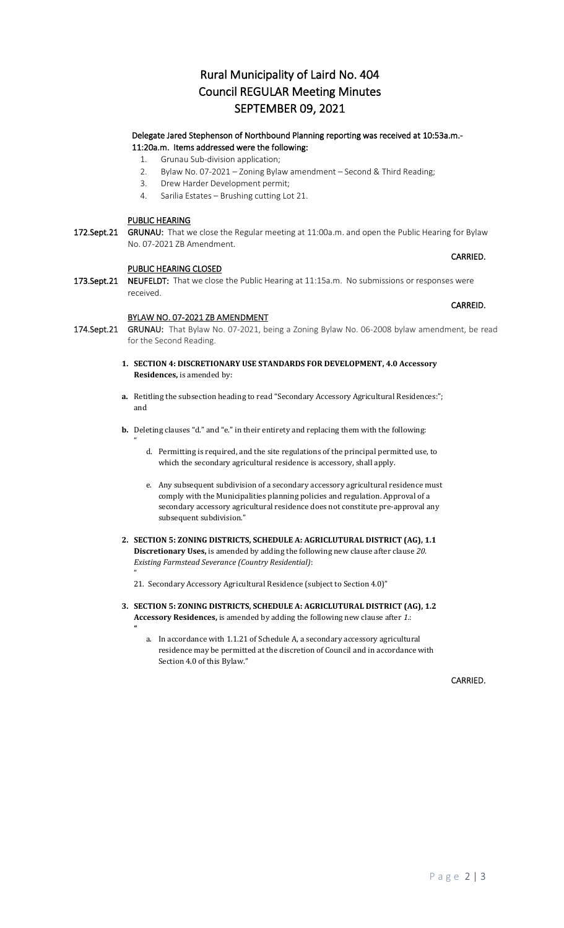## Rural Municipality of Laird No. 404 Council REGULAR Meeting Minutes SEPTEMBER 09, 2021

### Delegate Jared Stephenson of Northbound Planning reporting was received at 10:53a.m.- 11:20a.m. Items addressed were the following:

- 1. Grunau Sub-division application;
- 2. Bylaw No. 07-2021 Zoning Bylaw amendment Second & Third Reading;
- 3. Drew Harder Development permit;
- 4. Sarilia Estates Brushing cutting Lot 21.

### PUBLIC HEARING

 $^{\prime\prime}$ 

 $^{\prime\prime}$ 

172.Sept.21 GRUNAU: That we close the Regular meeting at 11:00a.m. and open the Public Hearing for Bylaw No. 07-2021 ZB Amendment.

**CARRIED.** The contract of the contract of the contract of the contract of the contract of the contract of the contract of the contract of the contract of the contract of the contract of the contract of the contract of the

#### PUBLIC HEARING CLOSED

173.Sept.21 NEUFELDT: That we close the Public Hearing at 11:15a.m. No submissions or responses were received.

#### BYLAW NO. 07-2021 ZB AMENDMENT

- 174.Sept.21 GRUNAU: That Bylaw No. 07-2021, being a Zoning Bylaw No. 06-2008 bylaw amendment, be read for the Second Reading.
	- **1. SECTION 4: DISCRETIONARY USE STANDARDS FOR DEVELOPMENT, 4.0 Accessory Residences,** is amended by:
	- **a.** Retitling the subsection heading to read "Secondary Accessory Agricultural Residences:"; and
	- **b.** Deleting clauses "d." and "e." in their entirety and replacing them with the following:
		- d. Permitting is required, and the site regulations of the principal permitted use, to which the secondary agricultural residence is accessory, shall apply.
		- e. Any subsequent subdivision of a secondary accessory agricultural residence must comply with the Municipalities planning policies and regulation. Approval of a secondary accessory agricultural residence does not constitute pre-approval any subsequent subdivision."
	- **2. SECTION 5: ZONING DISTRICTS, SCHEDULE A: AGRICLUTURAL DISTRICT (AG), 1.1 Discretionary Uses,** is amended by adding the following new clause after clause *20. Existing Farmstead Severance (Country Residential)*:

21. Secondary Accessory Agricultural Residence (subject to Section 4.0)"

- **3. SECTION 5: ZONING DISTRICTS, SCHEDULE A: AGRICLUTURAL DISTRICT (AG), 1.2 Accessory Residences,** is amended by adding the following new clause after *1.*: **"**
	- a. In accordance with 1.1.21 of Schedule A, a secondary accessory agricultural residence may be permitted at the discretion of Council and in accordance with Section 4.0 of this Bylaw."

CARRIED.

#### CARREID.